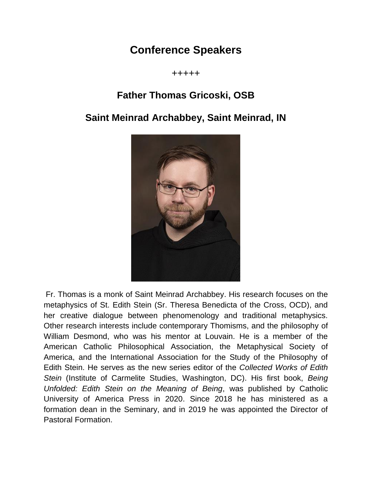## **Conference Speakers**

+++++

#### **Father Thomas Gricoski, OSB**

#### **Saint Meinrad Archabbey, Saint Meinrad, IN**



Fr. Thomas is a monk of Saint Meinrad Archabbey. His research focuses on the metaphysics of St. Edith Stein (Sr. Theresa Benedicta of the Cross, OCD), and her creative dialogue between phenomenology and traditional metaphysics. Other research interests include contemporary Thomisms, and the philosophy of William Desmond, who was his mentor at Louvain. He is a member of the American Catholic Philosophical Association, the Metaphysical Society of America, and the International Association for the Study of the Philosophy of Edith Stein. He serves as the new series editor of the *Collected Works of Edith Stein* (Institute of Carmelite Studies, Washington, DC). His first book, *Being Unfolded: Edith Stein on the Meaning of Being*, was published by Catholic University of America Press in 2020. Since 2018 he has ministered as a formation dean in the Seminary, and in 2019 he was appointed the Director of Pastoral Formation.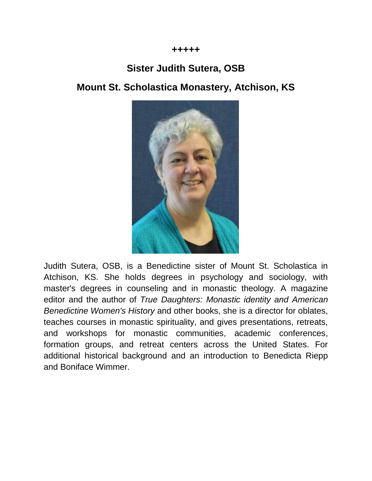

### **Sister Judith Sutera, OSB**

#### **Mount St. Scholastica Monastery, Atchison, KS**



Judith Sutera, OSB, is a Benedictine sister of Mount St. Scholastica in Atchison, KS. She holds degrees in psychology and sociology, with master's degrees in counseling and in monastic theology. A magazine editor and the author of *True Daughters: Monastic identity and American Benedictine Women's History* and other books, she is a director for oblates, teaches courses in monastic spirituality, and gives presentations, retreats, and workshops for monastic communities, academic conferences, formation groups, and retreat centers across the United States. For additional historical background and an introduction to Benedicta Riepp and Boniface Wimmer.